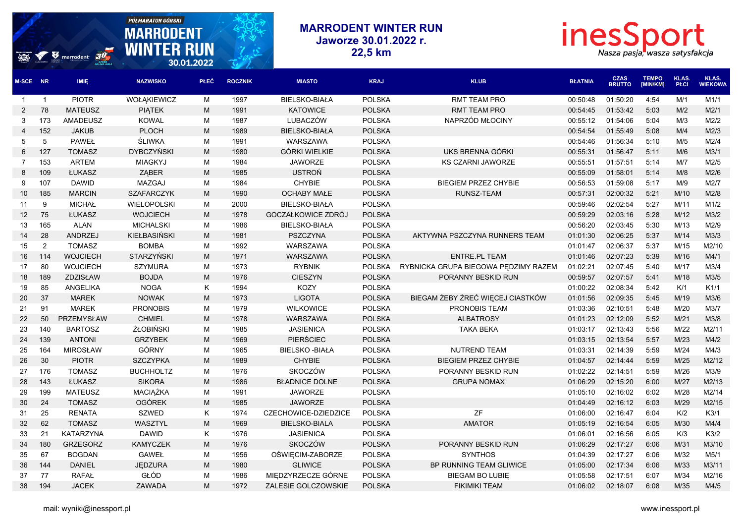## **PÓŁ MARATON GÓRSKI MARRODENT WINTER RUN** inesSport **MARRODENT Jaworze 30.01.2022 r. WINTER RUN**  $\boldsymbol{v}$  marrodent  $\boldsymbol{v}$ **22,5 km** Nasza pasja, wasza satysfakcja 30.01.2022 **CZAS TEMPO KLAS. KLAS. M-SCE NR IMIĘ NAZWISKO PŁEĆ ROCZNIK MIASTO KRAJ KLUB BŁATNIA BRUTTO [MIN/KM] PŁCI WIEKOWA** 1 PIOTR WOŁĄKIEWICZ M 1997 BIELSKO-BIAŁA POLSKA RMT TEAM PRO 00:50:48 01:50:20 4:54 M/1 M1/1 78 MATEUSZ PIĄTEK M 1991 KATOWICE POLSKA RMT TEAM PRO 00:54:45 01:53:42 5:03 M/2 M2/1 173 AMADEUSZ KOWAL M 1987 LUBACZÓW POLSKA NAPRZÓD MŁOCINY 00:55:12 01:54:06 5:04 M/3 M2/2 152 JAKUB PLOCH M 1989 BIELSKO-BIAŁA POLSKA 00:54:54 01:55:49 5:08 M/4 M2/3 5 PAWEŁ ŚLIWKA M 1991 WARSZAWA POLSKA 00:54:46 01:56:34 5:10 M/5 M2/4 127 TOMASZ DYBCZYŃSKI M 1980 GÓRKI WIELKIE POLSKA UKS BRENNA GÓRKI 00:55:31 01:56:47 5:11 M/6 M3/1 153 ARTEM MIAGKYJ M 1984 JAWORZE POLSKA KS CZARNI JAWORZE 00:55:51 01:57:51 5:14 M/7 M2/5 109 ŁUKASZ ZĄBER M 1985 USTROŃ POLSKA 00:55:09 01:58:01 5:14 M/8 M2/6 107 DAWID MAZGAJ M 1984 CHYBIE POLSKA BIEGIEM PRZEZ CHYBIE 00:56:53 01:59:08 5:17 M/9 M2/7 185 MARCIN SZAFARCZYK M 1990 OCHABY MAŁE POLSKA RUNSZ-TEAM 00:57:31 02:00:32 5:21 M/10 M2/8 9 MICHAŁ WIELOPOLSKI M 2000 BIELSKO-BIAŁA POLSKA 00:59:46 02:02:54 5:27 M/11 M1/2 75 ŁUKASZ WOJCIECH M 1978 GOCZAŁKOWICE ZDRÓJ POLSKA 00:59:29 02:03:16 5:28 M/12 M3/2 165 ALAN MICHALSKI M 1986 BIELSKO-BIAŁA POLSKA 00:56:20 02:03:45 5:30 M/13 M2/9 28 ANDRZEJ KIEŁBASIŃSKI M 1981 PSZCZYNA POLSKA AKTYWNA PSZCZYNA RUNNERS TEAM 01:01:30 02:06:25 5:37 M/14 M3/3 2 TOMASZ BOMBA M 1992 WARSZAWA POLSKA 01:01:47 02:06:37 5:37 M/15 M2/10 114 WOJCIECH STARZYŃSKI M 1971 WARSZAWA POLSKA ENTRE.PL TEAM 01:01:46 02:07:23 5:39 M/16 M4/1 80 WOJCIECH SZYMURA M 1973 RYBNIK POLSKA RYBNICKA GRUPA BIEGOWA PĘDZIMY RAZEM 01:02:21 02:07:45 5:40 M/17 M3/4 189 ZDZISŁAW BOJDA M 1976 CIESZYN POLSKA PORANNY BESKID RUN 00:59:57 02:07:57 5:41 M/18 M3/5 85 ANGELIKA NOGA K 1994 KOZY POLSKA 01:00:22 02:08:34 5:42 K/1 K1/1 37 MAREK NOWAK M 1973 LIGOTA POLSKA BIEGAM ŻEBY ŻREĆ WIĘCEJ CIASTKÓW 01:01:56 02:09:35 5:45 M/19 M3/6 91 MAREK PRONOBIS M 1979 WILKOWICE POLSKA PRONOBIS TEAM 01:03:36 02:10:51 5:48 M/20 M3/7 50 PRZEMYSŁAW CHMIEL M 1978 WARSZAWA POLSKA ALBATROSY 01:01:23 02:12:09 5:52 M/21 M3/8 140 BARTOSZ ŻŁOBIŃSKI M 1985 JASIENICA POLSKA TAKA BEKA 01:03:17 02:13:43 5:56 M/22 M2/11 139 ANTONI GRZYBEK M 1969 PIERŚCIEC POLSKA 01:03:15 02:13:54 5:57 M/23 M4/2 164 MIROSŁAW GÓRNY M 1965 BIELSKO -BIAŁA POLSKA NUTREND TEAM 01:03:31 02:14:39 5:59 M/24 M4/3 30 PIOTR SZCZYPKA M 1989 CHYBIE POLSKA BIEGIEM PRZEZ CHYBIE 01:04:57 02:14:44 5:59 M/25 M2/12 176 TOMASZ BUCHHOLTZ M 1976 SKOCZÓW POLSKA PORANNY BESKID RUN 01:02:22 02:14:51 5:59 M/26 M3/9 143 ŁUKASZ SIKORA M 1986 BŁADNICE DOLNE POLSKA GRUPA NOMAX 01:06:29 02:15:20 6:00 M/27 M2/13 199 MATEUSZ MACIĄŻKA M 1991 JAWORZE POLSKA 01:05:10 02:16:02 6:02 M/28 M2/14 24 TOMASZ OGÓREK M 1985 JAWORZE POLSKA 01:04:49 02:16:12 6:03 M/29 M2/15 25 RENATA SZWED K 1974 CZECHOWICE-DZIEDZICE POLSKA ZF 01:06:00 02:16:47 6:04 K/2 K3/1 62 TOMASZ WASZTYL M 1969 BIELSKO-BIALA POLSKA AMATOR 01:05:19 02:16:54 6:05 M/30 M4/4 21 KATARZYNA DAWID K 1976 JASIENICA POLSKA 01:06:01 02:16:56 6:05 K/3 K3/2 180 GRZEGORZ KAMYCZEK M 1976 SKOCZÓW POLSKA PORANNY BESKID RUN 01:06:29 02:17:27 6:06 M/31 M3/10 67 BOGDAN GAWEŁ M 1956 OŚWIĘCIM-ZABORZE POLSKA SYNTHOS 01:04:39 02:17:27 6:06 M/32 M5/1 144 DANIEL JĘDZURA M 1980 GLIWICE POLSKA BP RUNNING TEAM GLIWICE 01:05:00 02:17:34 6:06 M/33 M3/11

 77 RAFAŁ GŁÓD M 1986 MIĘDZYRZECZE GÓRNE POLSKA BIEGAM BO LUBIĘ 01:05:58 02:17:51 6:07 M/34 M2/16 194 JACEK ZAWADA M 1972 ZALESIE GOLCZOWSKIE POLSKA FIKIMIKI TEAM 01:06:02 02:18:07 6:08 M/35 M4/5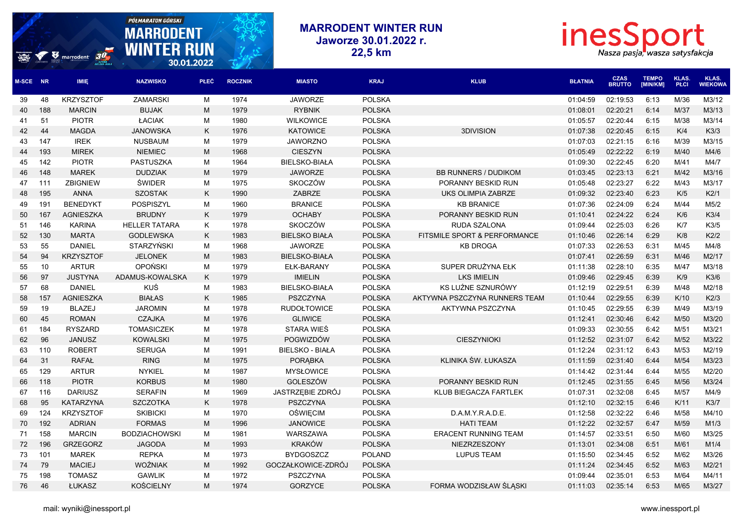## **PÓŁMARATON GÓRSKI MARRODENT WINTER RUN** inesSport **MARRODENT Jaworze 30.01.2022 r. WINTER RUN** V marrodent 30 **22,5 km** Nasza pasja, wasza satysfakcja 30.01.2022 **CZAS TEMPO KLAS. KLAS. M-SCE NR IMIĘ NAZWISKO PŁEĆ ROCZNIK MIASTO KRAJ KLUB BŁATNIA BRUTTO [MIN/KM] PŁCI WIEKOWA** 48 KRZYSZTOF ZAMARSKI M 1974 JAWORZE POLSKA 01:04:59 02:19:53 6:13 M/36 M3/12 188 MARCIN BUJAK M 1979 RYBNIK POLSKA 01:08:01 02:20:21 6:14 M/37 M3/13 51 PIOTR ŁACIAK M 1980 WILKOWICE POLSKA 01:05:57 02:20:44 6:15 M/38 M3/14 44 MAGDA JANOWSKA K 1976 KATOWICE POLSKA 3DIVISION 01:07:38 02:20:45 6:15 K/4 K3/3 147 IREK NUSBAUM M 1979 JAWORZNO POLSKA 01:07:03 02:21:15 6:16 M/39 M3/15 193 MIREK NIEMIEC M 1968 CIESZYN POLSKA 01:05:49 02:22:22 6:19 M/40 M4/6 142 PIOTR PASTUSZKA M 1964 BIELSKO-BIAŁA POLSKA 01:09:30 02:22:45 6:20 M/41 M4/7 148 MAREK DUDZIAK M 1979 JAWORZE POLSKA BB RUNNERS / DUDIKOM 01:03:45 02:23:13 6:21 M/42 M3/16 111 ZBIGNIEW ŚWIDER M 1975 SKOCZÓW POLSKA PORANNY BESKID RUN 01:05:48 02:23:27 6:22 M/43 M3/17

| 45 | 142 | <b>PIOTR</b>     | <b>PASTUSZKA</b>     | M  | 1964 | <b>BIELSKO-BIAŁA</b>   | <b>POLSKA</b> |                               | 01:09:30 | 02:22:45 | 6:20 | M/41 | M4/7  |
|----|-----|------------------|----------------------|----|------|------------------------|---------------|-------------------------------|----------|----------|------|------|-------|
| 46 | 148 | <b>MAREK</b>     | <b>DUDZIAK</b>       | M  | 1979 | <b>JAWORZE</b>         | <b>POLSKA</b> | <b>BB RUNNERS / DUDIKOM</b>   | 01:03:45 | 02:23:13 | 6:21 | M/42 | M3/16 |
| 47 | 111 | <b>ZBIGNIEW</b>  | ŚWIDER               | М  | 1975 | <b>SKOCZÓW</b>         | <b>POLSKA</b> | PORANNY BESKID RUN            | 01:05:48 | 02:23:27 | 6:22 | M/43 | M3/17 |
| 48 | 195 | <b>ANNA</b>      | <b>SZOSTAK</b>       | K  | 1990 | <b>ZABRZE</b>          | <b>POLSKA</b> | UKS OLIMPIA ZABRZE            | 01:09:32 | 02:23:40 | 6:23 | K/5  | K2/1  |
| 49 | 191 | <b>BENEDYKT</b>  | POSPISZYL            | М  | 1960 | <b>BRANICE</b>         | <b>POLSKA</b> | <b>KB BRANICE</b>             | 01:07:36 | 02:24:09 | 6:24 | M/44 | M5/2  |
| 50 | 167 | <b>AGNIESZKA</b> | <b>BRUDNY</b>        | K  | 1979 | <b>OCHABY</b>          | <b>POLSKA</b> | PORANNY BESKID RUN            | 01:10:41 | 02:24:22 | 6:24 | K/6  | K3/4  |
| 51 | 146 | <b>KARINA</b>    | <b>HELLER TATARA</b> | K  | 1978 | SKOCZÓW                | <b>POLSKA</b> | RUDA SZALONA                  | 01:09:44 | 02:25:03 | 6:26 | K/7  | K3/5  |
| 52 | 130 | <b>MARTA</b>     | <b>GODLEWSKA</b>     | K. | 1983 | <b>BIELSKO BIAŁA</b>   | <b>POLSKA</b> | FITSMILE SPORT & PERFORMANCE  | 01:10:46 | 02:26:14 | 6:29 | K/8  | K2/2  |
| 53 | 55  | <b>DANIEL</b>    | <b>STARZYŃSKI</b>    | М  | 1968 | <b>JAWORZE</b>         | <b>POLSKA</b> | <b>KB DROGA</b>               | 01:07:33 | 02:26:53 | 6:31 | M/45 | M4/8  |
| 54 | 94  | <b>KRZYSZTOF</b> | <b>JELONEK</b>       | M  | 1983 | <b>BIELSKO-BIAŁA</b>   | <b>POLSKA</b> |                               | 01:07:41 | 02:26:59 | 6:31 | M/46 | M2/17 |
| 55 | 10  | <b>ARTUR</b>     | <b>OPOŃSKI</b>       | М  | 1979 | <b>EŁK-BARANY</b>      | <b>POLSKA</b> | SUPER DRUŻYNA EŁK             | 01:11:38 | 02:28:10 | 6:35 | M/47 | M3/18 |
| 56 | 97  | <b>JUSTYNA</b>   | ADAMUS-KOWALSKA      | K  | 1979 | <b>IMIELIN</b>         | <b>POLSKA</b> | <b>LKS IMIELIN</b>            | 01:09:46 | 02:29:45 | 6:39 | K/9  | K3/6  |
| 57 | 68  | <b>DANIEL</b>    | KUŚ                  | M  | 1983 | <b>BIELSKO-BIAŁA</b>   | <b>POLSKA</b> | KS LUŹNE SZNURÓWY             | 01:12:19 | 02:29:51 | 6:39 | M/48 | M2/18 |
| 58 | 157 | <b>AGNIESZKA</b> | <b>BIAŁAS</b>        | K  | 1985 | <b>PSZCZYNA</b>        | <b>POLSKA</b> | AKTYWNA PSZCZYNA RUNNERS TEAM | 01:10:44 | 02:29:55 | 6:39 | K/10 | K2/3  |
| 59 | 19  | <b>BLAZEJ</b>    | <b>JAROMIN</b>       | М  | 1978 | <b>RUDOŁTOWICE</b>     | <b>POLSKA</b> | AKTYWNA PSZCZYNA              | 01:10:45 | 02:29:55 | 6:39 | M/49 | M3/19 |
| 60 | 45  | <b>ROMAN</b>     | <b>CZAJKA</b>        | M  | 1976 | <b>GLIWICE</b>         | <b>POLSKA</b> |                               | 01:12:41 | 02:30:46 | 6:42 | M/50 | M3/20 |
| 61 | 184 | <b>RYSZARD</b>   | <b>TOMASICZEK</b>    | М  | 1978 | <b>STARA WIES</b>      | <b>POLSKA</b> |                               | 01:09:33 | 02:30:55 | 6:42 | M/51 | M3/21 |
| 62 | 96  | <b>JANUSZ</b>    | <b>KOWALSKI</b>      | M  | 1975 | POGWIZDÓW              | <b>POLSKA</b> | <b>CIESZYNIOKI</b>            | 01:12:52 | 02:31:07 | 6:42 | M/52 | M3/22 |
| 63 | 110 | <b>ROBERT</b>    | <b>SERUGA</b>        | M  | 1991 | <b>BIELSKO - BIAŁA</b> | <b>POLSKA</b> |                               | 01:12:24 | 02:31:12 | 6:43 | M/53 | M2/19 |
| 64 | 31  | <b>RAFAŁ</b>     | <b>RING</b>          | M  | 1975 | <b>PORABKA</b>         | <b>POLSKA</b> | KLINIKA ŚW. ŁUKASZA           | 01:11:59 | 02:31:40 | 6:44 | M/54 | M3/23 |
| 65 | 129 | <b>ARTUR</b>     | <b>NYKIEL</b>        | М  | 1987 | <b>MYSŁOWICE</b>       | <b>POLSKA</b> |                               | 01:14:42 | 02:31:44 | 6:44 | M/55 | M2/20 |
| 66 | 118 | <b>PIOTR</b>     | <b>KORBUS</b>        | M  | 1980 | GOLESZÓW               | <b>POLSKA</b> | PORANNY BESKID RUN            | 01:12:45 | 02:31:55 | 6:45 | M/56 | M3/24 |
| 67 | 116 | <b>DARIUSZ</b>   | <b>SERAFIN</b>       | M  | 1969 | JASTRZEBIE ZDRÓJ       | <b>POLSKA</b> | KLUB BIEGACZA FARTLEK         | 01:07:31 | 02:32:08 | 6:45 | M/57 | M4/9  |
| 68 | 95  | <b>KATARZYNA</b> | <b>SZCZOTKA</b>      | K  | 1978 | <b>PSZCZYNA</b>        | <b>POLSKA</b> |                               | 01:12:10 | 02:32:15 | 6:46 | K/11 | K3/7  |
| 69 | 124 | <b>KRZYSZTOF</b> | <b>SKIBICKI</b>      | M  | 1970 | <b>OŚWIĘCIM</b>        | <b>POLSKA</b> | D.A.M.Y.R.A.D.E.              | 01:12:58 | 02:32:22 | 6:46 | M/58 | M4/10 |
| 70 | 192 | <b>ADRIAN</b>    | <b>FORMAS</b>        | M  | 1996 | <b>JANOWICE</b>        | <b>POLSKA</b> | <b>HATI TEAM</b>              | 01:12:22 | 02:32:57 | 6:47 | M/59 | M1/3  |
| 71 | 158 | <b>MARCIN</b>    | <b>BODZIACHOWSKI</b> | М  | 1981 | WARSZAWA               | <b>POLSKA</b> | <b>ERACENT RUNNING TEAM</b>   | 01:14:57 | 02:33:51 | 6:50 | M/60 | M3/25 |
| 72 | 196 | <b>GRZEGORZ</b>  | <b>JAGODA</b>        | M  | 1993 | <b>KRAKÓW</b>          | <b>POLSKA</b> | NIEZRZESZONY                  | 01:13:01 | 02:34:08 | 6:51 | M/61 | M1/4  |
| 73 | 101 | <b>MAREK</b>     | <b>REPKA</b>         | м  | 1973 | <b>BYDGOSZCZ</b>       | POLAND        | <b>LUPUS TEAM</b>             | 01:15:50 | 02:34:45 | 6:52 | M/62 | M3/26 |
| 74 | 79  | <b>MACIEJ</b>    | WOŹNIAK              | M  | 1992 | GOCZAŁKOWICE-ZDRÓJ     | <b>POLSKA</b> |                               | 01:11:24 | 02:34:45 | 6:52 | M/63 | M2/21 |
| 75 | 198 | <b>TOMASZ</b>    | <b>GAWLIK</b>        | м  | 1972 | PSZCZYNA               | <b>POLSKA</b> |                               | 01:09:44 | 02:35:01 | 6:53 | M/64 | M4/11 |
| 76 | 46  | ŁUKASZ           | <b>KOŚCIELNY</b>     | M  | 1974 | <b>GORZYCE</b>         | <b>POLSKA</b> | FORMA WODZISŁAW ŚLĄSKI        | 01:11:03 | 02:35:14 | 6:53 | M/65 | M3/27 |
|    |     |                  |                      |    |      |                        |               |                               |          |          |      |      |       |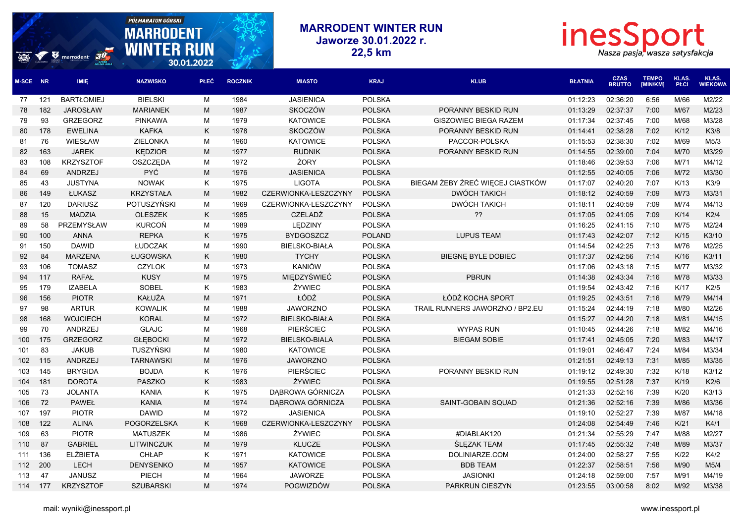## **PÓŁ MARATON GÓRSKI** inesSport **MARRODENT WINTER RUN MARRODENT Jaworze 30.01.2022 r. WINTER RUN**  $\boldsymbol{v}$  marrodent  $\boldsymbol{v}$ **22,5 km** Nasza pasja, wasza satysfakcja 30.01.2022 **CZAS TEMPO KLAS. KLAS. M-SCE NR IMIĘ NAZWISKO PŁEĆ ROCZNIK MIASTO KRAJ KLUB BŁATNIA BRUTTO [MIN/KM] PŁCI WIEKOWA** 121 BARTŁOMIEJ BIELSKI M 1984 JASIENICA POLSKA 01:12:23 02:36:20 6:56 M/66 M2/22 182 JAROSŁAW MARIANEK M 1987 SKOCZÓW POLSKA PORANNY BESKID RUN 01:13:29 02:37:37 7:00 M/67 M2/23 93 GRZEGORZ PINKAWA M 1979 KATOWICE POLSKA GISZOWIEC BIEGA RAZEM 01:17:34 02:37:45 7:00 M/68 M3/28 178 EWELINA KAFKA K 1978 SKOCZÓW POLSKA PORANNY BESKID RUN 01:14:41 02:38:28 7:02 K/12 K3/8 76 WIESŁAW ZIELONKA M 1960 KATOWICE POLSKA PACCOR-POLSKA 01:15:53 02:38:30 7:02 M/69 M5/3 163 JAREK KĘDZIOR M 1977 RUDNIK POLSKA PORANNY BESKID RUN 01:14:55 02:39:00 7:04 M/70 M3/29 108 KRZYSZTOF OSZCZĘDA M 1972 ŻORY POLSKA 01:18:46 02:39:53 7:06 M/71 M4/12 69 ANDRZEJ PYĆ M 1976 JASIENICA POLSKA 01:12:55 02:40:05 7:06 M/72 M3/30 43 JUSTYNA NOWAK K 1975 LIGOTA POLSKA BIEGAM ŻEBY ŻREĆ WIĘCEJ CIASTKÓW 01:17:07 02:40:20 7:07 K/13 K3/9 149 ŁUKASZ KRZYSTAŁA M 1982 CZERWIONKA-LESZCZYNY POLSKA DWÓCH TAKICH 01:18:12 02:40:59 7:09 M/73 M3/31 120 DARIUSZ POTUSZYŃSKI M 1969 CZERWIONKA-LESZCZYNY POLSKA DWÓCH TAKICH 01:18:11 02:40:59 7:09 M/74 M4/13 15 MADZIA OLESZEK K 1985 CZELADŹ POLSKA ?? 01:17:05 02:41:05 7:09 K/14 K2/4 58 PRZEMYSŁAW KURCOŃ M 1989 LĘDZINY POLSKA 01:16:25 02:41:15 7:10 M/75 M2/24 100 ANNA REPKA K 1975 BYDGOSZCZ POLAND LUPUS TEAM 01:17:43 02:42:07 7:12 K/15 K3/10 150 DAWID ŁUDCZAK M 1990 BIELSKO-BIAŁA POLSKA 01:14:54 02:42:25 7:13 M/76 M2/25 84 MARZENA ŁUGOWSKA K 1980 TYCHY POLSKA BIEGNĘ BYLE DOBIEC 01:17:37 02:42:56 7:14 K/16 K3/11 106 TOMASZ CZYLOK M 1973 KANIÓW POLSKA 01:17:06 02:43:18 7:15 M/77 M3/32 117 RAFAŁ KUSY M 1975 MIĘDZYŚWIEĆ POLSKA PBRUN 01:14:38 02:43:34 7:16 M/78 M3/33 179 IZABELA SOBEL K 1983 ŻYWIEC POLSKA 01:19:54 02:43:42 7:16 K/17 K2/5 156 PIOTR KAŁUŻA M 1971 ŁÓDŹ POLSKA ŁÓDŹ KOCHA SPORT 01:19:25 02:43:51 7:16 M/79 M4/14 98 ARTUR KOWALIK M 1988 JAWORZNO POLSKA TRAIL RUNNERS JAWORZNO / BP2.EU 01:15:24 02:44:19 7:18 M/80 M2/26 168 WOJCIECH KORAL M 1972 BIELSKO-BIAŁA POLSKA 01:15:27 02:44:20 7:18 M/81 M4/15 70 ANDRZEJ GLAJC M 1968 PIERŚCIEC POLSKA WYPAS RUN 01:10:45 02:44:26 7:18 M/82 M4/16 175 GRZEGORZ GŁĘBOCKI M 1972 BIELSKO-BIALA POLSKA BIEGAM SOBIE 01:17:41 02:45:05 7:20 M/83 M4/17 83 JAKUB TUSZYŃSKI M 1980 KATOWICE POLSKA 01:19:01 02:46:47 7:24 M/84 M3/34 115 ANDRZEJ TARNAWSKI M 1976 JAWORZNO POLSKA 01:21:51 02:49:13 7:31 M/85 M3/35 145 BRYGIDA BOJDA K 1976 PIERŚCIEC POLSKA PORANNY BESKID RUN 01:19:12 02:49:30 7:32 K/18 K3/12 181 DOROTA PASZKO K 1983 ŻYWIEC POLSKA 01:19:55 02:51:28 7:37 K/19 K2/6 73 JOLANTA KANIA K 1975 DĄBROWA GÓRNICZA POLSKA 01:21:33 02:52:16 7:39 K/20 K3/13 72 PAWEŁ KANIA M 1974 DĄBROWA GÓRNICZA POLSKA SAINT-GOBAIN SQUAD 01:21:36 02:52:16 7:39 M/86 M3/36 197 PIOTR DAWID M 1972 JASIENICA POLSKA 01:19:10 02:52:27 7:39 M/87 M4/18 122 ALINA POGORZELSKA K 1968 CZERWIONKA-LESZCZYNY POLSKA 01:24:08 02:54:49 7:46 K/21 K4/1 63 PIOTR MATUSZEK M 1986 ŻYWIEC POLSKA #DIABLAK120 01:21:34 02:55:29 7:47 M/88 M2/27 87 GABRIEL LITWINCZUK M 1979 KLUCZE POLSKA ŚLĘZAK TEAM 01:17:45 02:55:32 7:48 M/89 M3/37 136 ELŻBIETA CHŁAP K 1971 KATOWICE POLSKA DOLINIARZE.COM 01:24:00 02:58:27 7:55 K/22 K4/2 200 LECH DENYSENKO M 1957 KATOWICE POLSKA BDB TEAM 01:22:37 02:58:51 7:56 M/90 M5/4 47 JANUSZ PIECH M 1964 JAWORZE POLSKA JASIONKI 01:24:18 02:59:00 7:57 M/91 M4/19 177 KRZYSZTOF SZUBARSKI M 1974 POGWIZDÓW POLSKA PARKRUN CIESZYN 01:23:55 03:00:58 8:02 M/92 M3/38